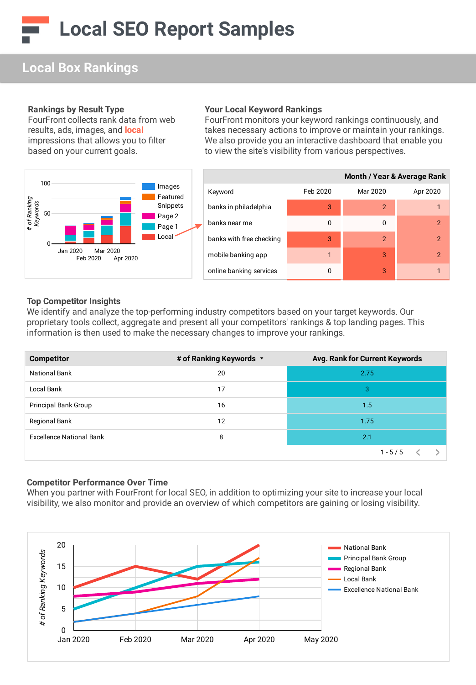# **Local Box Rankings**

#### **Rankings by Result Type**

FourFront collects rank data from web results, ads, images, and **local** impressions that allows you to filter based on your current goals.



#### **Your Local Keyword Rankings**

FourFront monitors your keyword rankings continuously, and takes necessary actions to improve or maintain your rankings. We also provide you an interactive dashboard that enable you to view the site's visibility from various perspectives.

|                          | <b>Month / Year &amp; Average Rank</b> |                |          |  |
|--------------------------|----------------------------------------|----------------|----------|--|
| Keyword                  | Feb 2020                               | Mar 2020       | Apr 2020 |  |
| banks in philadelphia    | 3                                      | $\mathfrak{p}$ |          |  |
| banks near me            | 0                                      | ŋ              | 2        |  |
| banks with free checking | 3                                      | $\mathcal{P}$  | 2        |  |
| mobile banking app       |                                        | 3              | 2        |  |
| online banking services  | 0                                      | 3              |          |  |

#### **Top Competitor Insights**

We identify and analyze the top-performing industry competitors based on your target keywords. Our proprietary tools collect, aggregate and present all your competitors' rankings & top landing pages. This information is then used to make the necessary changes to improve your rankings.

| <b>Competitor</b>               | # of Ranking Keywords v | Avg. Rank for Current Keywords |
|---------------------------------|-------------------------|--------------------------------|
| <b>National Bank</b>            | 20                      | 2.75                           |
| Local Bank                      | 17                      | 3                              |
| <b>Principal Bank Group</b>     | 16                      | 1.5                            |
| Regional Bank                   | 12                      | 1.75                           |
| <b>Excellence National Bank</b> | 8                       | 2.1                            |
|                                 |                         | $1 - 5/5$                      |

#### **Competitor Performance Over Time**

When you partner with FourFront for local SEO, in addition to optimizing your site to increase your local visibility, we also monitor and provide an overview of which competitors are gaining or losing visibility.

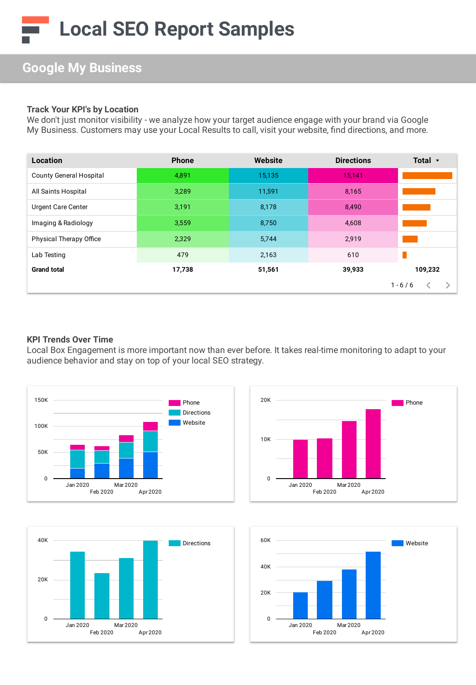## **Google My Business**

#### **Track Your KPI's by Location**

We don't just monitor visibility - we analyze how your target audience engage with your brand via Google My Business. Customers may use your Local Results to call, visit your website, find directions, and more.

| Location                       | <b>Phone</b> | Website | <b>Directions</b> | Total $\mathbf{\cdot}$ |
|--------------------------------|--------------|---------|-------------------|------------------------|
| <b>County General Hospital</b> | 4,891        | 15,135  | 15,141            |                        |
| All Saints Hospital            | 3,289        | 11,591  | 8,165             |                        |
| <b>Urgent Care Center</b>      | 3,191        | 8,178   | 8,490             |                        |
| Imaging & Radiology            | 3,559        | 8,750   | 4,608             |                        |
| <b>Physical Therapy Office</b> | 2,329        | 5,744   | 2,919             |                        |
| Lab Testing                    | 479          | 2,163   | 610               |                        |
| <b>Grand total</b>             | 17,738       | 51,561  | 39,933            | 109,232                |
|                                |              |         |                   | $1 - 6 / 6$            |

#### **KPI Trends Over Time**

Local Box Engagement is more important now than ever before. It takes real-time monitoring to adapt to your audience behavior and stay on top of your local SEO strategy.